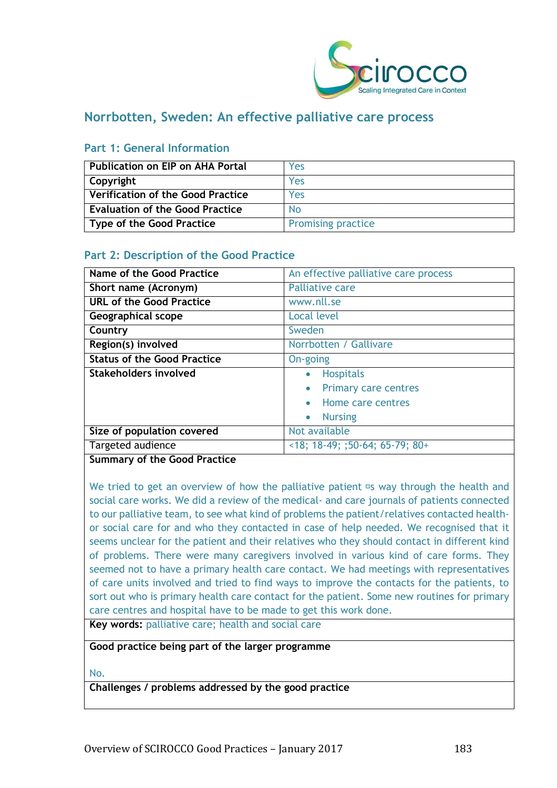

# **Norrbotten, Sweden: An effective palliative care process**

| l Publication on EIP on AHA Portal       | Yes                       |
|------------------------------------------|---------------------------|
| Copyright                                | Yes                       |
| <b>Verification of the Good Practice</b> | Yes                       |
| <b>Evaluation of the Good Practice</b>   | Nο                        |
| Type of the Good Practice                | <b>Promising practice</b> |

### **Part 1: General Information**

# **Part 2: Description of the Good Practice**

| Name of the Good Practice          | An effective palliative care process     |
|------------------------------------|------------------------------------------|
| Short name (Acronym)               | <b>Palliative care</b>                   |
| <b>URL of the Good Practice</b>    | www.nll.se                               |
| <b>Geographical scope</b>          | <b>Local level</b>                       |
| Country                            | Sweden                                   |
| Region(s) involved                 | Norrbotten / Gallivare                   |
| <b>Status of the Good Practice</b> | On-going                                 |
| Stakeholders involved              | <b>Hospitals</b><br>$\bullet$            |
|                                    | <b>Primary care centres</b><br>$\bullet$ |
|                                    | • Home care centres                      |
|                                    | <b>Nursing</b><br>$\bullet$              |
| Size of population covered         | Not available                            |
| Targeted audience                  | $<18$ ; 18-49; ;50-64; 65-79; 80+        |

#### **Summary of the Good Practice**

We tried to get an overview of how the palliative patient  $\Xi$ s way through the health and social care works. We did a review of the medical- and care journals of patients connected to our palliative team, to see what kind of problems the patient/relatives contacted healthor social care for and who they contacted in case of help needed. We recognised that it seems unclear for the patient and their relatives who they should contact in different kind of problems. There were many caregivers involved in various kind of care forms. They seemed not to have a primary health care contact. We had meetings with representatives of care units involved and tried to find ways to improve the contacts for the patients, to sort out who is primary health care contact for the patient. Some new routines for primary care centres and hospital have to be made to get this work done.

**Key words:** palliative care; health and social care

**Good practice being part of the larger programme**

No.

**Challenges / problems addressed by the good practice**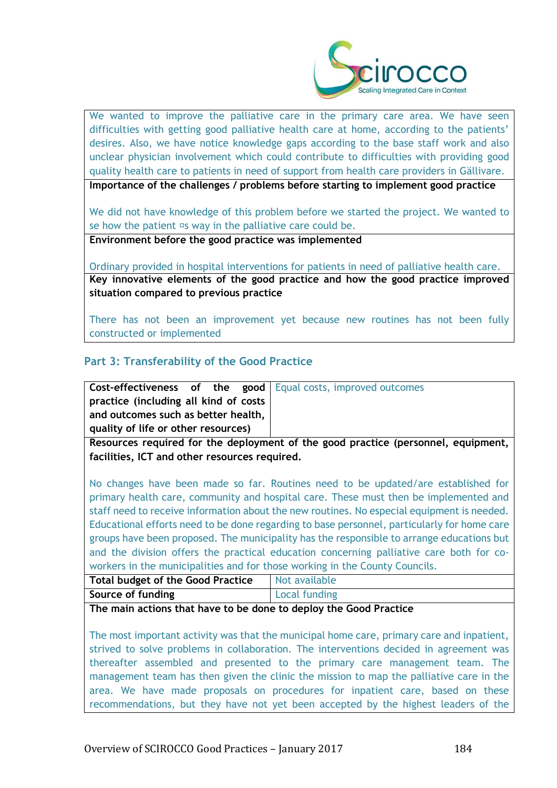

We wanted to improve the palliative care in the primary care area. We have seen difficulties with getting good palliative health care at home, according to the patients' desires. Also, we have notice knowledge gaps according to the base staff work and also unclear physician involvement which could contribute to difficulties with providing good quality health care to patients in need of support from health care providers in Gällivare.

**Importance of the challenges / problems before starting to implement good practice**

We did not have knowledge of this problem before we started the project. We wanted to se how the patient  $\Xi$ s way in the palliative care could be.

**Environment before the good practice was implemented** 

Ordinary provided in hospital interventions for patients in need of palliative health care. **Key innovative elements of the good practice and how the good practice improved situation compared to previous practice**

There has not been an improvement yet because new routines has not been fully constructed or implemented

# **Part 3: Transferability of the Good Practice**

|                                       |  | <b>Cost-effectiveness of the good</b>   Equal costs, improved outcomes |
|---------------------------------------|--|------------------------------------------------------------------------|
| practice (including all kind of costs |  |                                                                        |
| and outcomes such as better health,   |  |                                                                        |
| quality of life or other resources)   |  |                                                                        |
|                                       |  |                                                                        |

**Resources required for the deployment of the good practice (personnel, equipment, facilities, ICT and other resources required.**

No changes have been made so far. Routines need to be updated/are established for primary health care, community and hospital care. These must then be implemented and staff need to receive information about the new routines. No especial equipment is needed. Educational efforts need to be done regarding to base personnel, particularly for home care groups have been proposed. The municipality has the responsible to arrange educations but and the division offers the practical education concerning palliative care both for coworkers in the municipalities and for those working in the County Councils.

| <b>Total budget of the Good Practice</b> | Not available |
|------------------------------------------|---------------|
| Source of funding                        | Local funding |

**The main actions that have to be done to deploy the Good Practice**

The most important activity was that the municipal home care, primary care and inpatient, strived to solve problems in collaboration. The interventions decided in agreement was thereafter assembled and presented to the primary care management team. The management team has then given the clinic the mission to map the palliative care in the area. We have made proposals on procedures for inpatient care, based on these recommendations, but they have not yet been accepted by the highest leaders of the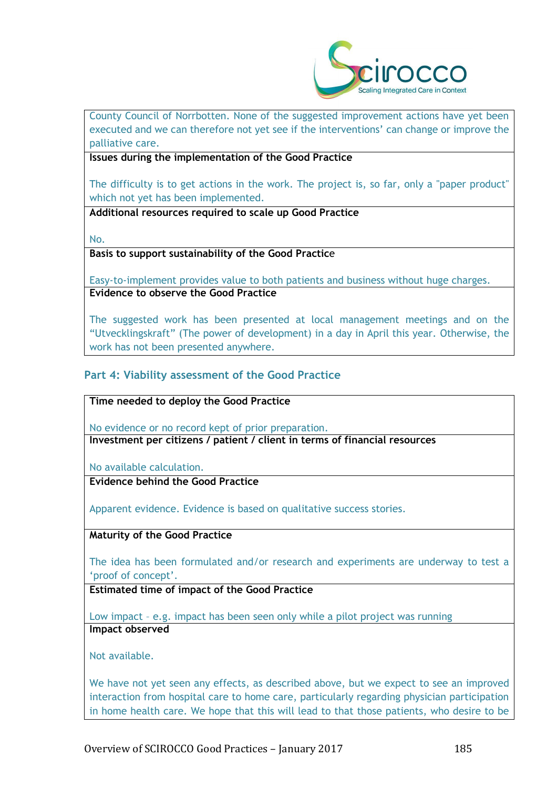

County Council of Norrbotten. None of the suggested improvement actions have yet been executed and we can therefore not yet see if the interventions' can change or improve the palliative care.

**Issues during the implementation of the Good Practice**

The difficulty is to get actions in the work. The project is, so far, only a "paper product" which not yet has been implemented.

**Additional resources required to scale up Good Practice**

No.

**Basis to support sustainability of the Good Practic**e

Easy-to-implement provides value to both patients and business without huge charges. **Evidence to observe the Good Practice**

The suggested work has been presented at local management meetings and on the "Utvecklingskraft" (The power of development) in a day in April this year. Otherwise, the work has not been presented anywhere.

# **Part 4: Viability assessment of the Good Practice**

**Time needed to deploy the Good Practice**

No evidence or no record kept of prior preparation. **Investment per citizens / patient / client in terms of financial resources**

No available calculation.

**Evidence behind the Good Practice**

Apparent evidence. Evidence is based on qualitative success stories.

**Maturity of the Good Practice**

The idea has been formulated and/or research and experiments are underway to test a 'proof of concept'.

**Estimated time of impact of the Good Practice**

Low impact – e.g. impact has been seen only while a pilot project was running **Impact observed**

Not available.

We have not yet seen any effects, as described above, but we expect to see an improved interaction from hospital care to home care, particularly regarding physician participation in home health care. We hope that this will lead to that those patients, who desire to be